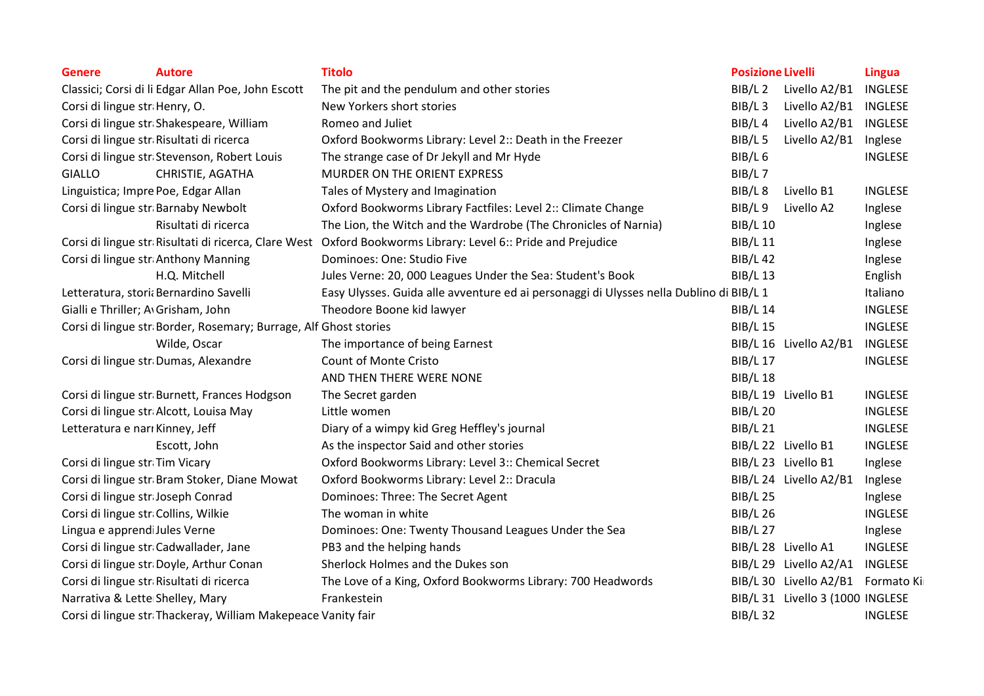| <b>Genere</b>                       | <b>Autore</b>                                                    | <b>Titolo</b>                                                                                                 | <b>Posizione Livelli</b> |                                   | <b>Lingua</b>  |
|-------------------------------------|------------------------------------------------------------------|---------------------------------------------------------------------------------------------------------------|--------------------------|-----------------------------------|----------------|
|                                     | Classici; Corsi di li Edgar Allan Poe, John Escott               | The pit and the pendulum and other stories                                                                    | BIB/L2                   | Livello A2/B1                     | <b>INGLESE</b> |
| Corsi di lingue str Henry, O.       |                                                                  | New Yorkers short stories                                                                                     | BIB/L <sub>3</sub>       | Livello A2/B1                     | <b>INGLESE</b> |
|                                     | Corsi di lingue straShakespeare, William                         | Romeo and Juliet                                                                                              | BIB/L 4                  | Livello A2/B1                     | <b>INGLESE</b> |
|                                     | Corsi di lingue str Risultati di ricerca                         | Oxford Bookworms Library: Level 2:: Death in the Freezer                                                      | BIB/L 5                  | Livello A2/B1                     | Inglese        |
|                                     | Corsi di lingue stri Stevenson, Robert Louis                     | The strange case of Dr Jekyll and Mr Hyde                                                                     | BIB/L 6                  |                                   | <b>INGLESE</b> |
| <b>GIALLO</b>                       | CHRISTIE, AGATHA                                                 | MURDER ON THE ORIENT EXPRESS                                                                                  | BIB/L 7                  |                                   |                |
|                                     | Linguistica; Impre Poe, Edgar Allan                              | Tales of Mystery and Imagination                                                                              | BIB/L 8                  | Livello B1                        | <b>INGLESE</b> |
|                                     | Corsi di lingue str Barnaby Newbolt                              | Oxford Bookworms Library Factfiles: Level 2:: Climate Change                                                  | BIB/L 9                  | Livello A2                        | Inglese        |
|                                     | Risultati di ricerca                                             | The Lion, the Witch and the Wardrobe (The Chronicles of Narnia)                                               | <b>BIB/L 10</b>          |                                   | Inglese        |
|                                     |                                                                  | Corsi di lingue stra Risultati di ricerca, Clare West Oxford Bookworms Library: Level 6:: Pride and Prejudice | <b>BIB/L 11</b>          |                                   | Inglese        |
|                                     | Corsi di lingue str Anthony Manning                              | Dominoes: One: Studio Five                                                                                    | <b>BIB/L 42</b>          |                                   | Inglese        |
|                                     | H.Q. Mitchell                                                    | Jules Verne: 20, 000 Leagues Under the Sea: Student's Book                                                    | <b>BIB/L 13</b>          |                                   | English        |
|                                     | Letteratura, storia Bernardino Savelli                           | Easy Ulysses. Guida alle avventure ed ai personaggi di Ulysses nella Dublino di BIB/L 1                       |                          |                                   | Italiano       |
| Gialli e Thriller; A Grisham, John  |                                                                  | Theodore Boone kid lawyer                                                                                     | <b>BIB/L 14</b>          |                                   | <b>INGLESE</b> |
|                                     | Corsi di lingue str Border, Rosemary; Burrage, Alf Ghost stories |                                                                                                               | <b>BIB/L 15</b>          |                                   | <b>INGLESE</b> |
|                                     | Wilde, Oscar                                                     | The importance of being Earnest                                                                               |                          | BIB/L 16 Livello A2/B1            | <b>INGLESE</b> |
|                                     | Corsi di lingue str Dumas, Alexandre                             | <b>Count of Monte Cristo</b>                                                                                  | <b>BIB/L 17</b>          |                                   | <b>INGLESE</b> |
|                                     |                                                                  | AND THEN THERE WERE NONE                                                                                      | <b>BIB/L 18</b>          |                                   |                |
|                                     | Corsi di lingue str Burnett, Frances Hodgson                     | The Secret garden                                                                                             |                          | BIB/L 19 Livello B1               | <b>INGLESE</b> |
|                                     | Corsi di lingue stra Alcott, Louisa May                          | Little women                                                                                                  | <b>BIB/L 20</b>          |                                   | <b>INGLESE</b> |
| Letteratura e narı Kinney, Jeff     |                                                                  | Diary of a wimpy kid Greg Heffley's journal                                                                   | <b>BIB/L 21</b>          |                                   | <b>INGLESE</b> |
|                                     | Escott, John                                                     | As the inspector Said and other stories                                                                       |                          | BIB/L 22 Livello B1               | <b>INGLESE</b> |
| Corsi di lingue straTim Vicary      |                                                                  | Oxford Bookworms Library: Level 3:: Chemical Secret                                                           |                          | BIB/L 23 Livello B1               | Inglese        |
|                                     | Corsi di lingue straBram Stoker, Diane Mowat                     | Oxford Bookworms Library: Level 2:: Dracula                                                                   |                          | BIB/L 24 Livello A2/B1            | Inglese        |
| Corsi di lingue str Joseph Conrad   |                                                                  | Dominoes: Three: The Secret Agent                                                                             | <b>BIB/L 25</b>          |                                   | Inglese        |
| Corsi di lingue str Collins, Wilkie |                                                                  | The woman in white                                                                                            | <b>BIB/L 26</b>          |                                   | <b>INGLESE</b> |
| Lingua e apprendi Jules Verne       |                                                                  | Dominoes: One: Twenty Thousand Leagues Under the Sea                                                          | <b>BIB/L 27</b>          |                                   | Inglese        |
|                                     | Corsi di lingue stra Cadwallader, Jane                           | PB3 and the helping hands                                                                                     |                          | BIB/L 28 Livello A1               | <b>INGLESE</b> |
|                                     | Corsi di lingue str. Doyle, Arthur Conan                         | Sherlock Holmes and the Dukes son                                                                             |                          | BIB/L 29 Livello A2/A1            | <b>INGLESE</b> |
|                                     | Corsi di lingue stra Risultati di ricerca                        | The Love of a King, Oxford Bookworms Library: 700 Headwords                                                   |                          | BIB/L 30 Livello A2/B1 Formato Ki |                |
| Narrativa & Lette Shelley, Mary     |                                                                  | Frankestein                                                                                                   |                          | BIB/L 31 Livello 3 (1000 INGLESE  |                |
|                                     | Corsi di lingue straThackeray, William Makepeace Vanity fair     |                                                                                                               | <b>BIB/L 32</b>          |                                   | <b>INGLESE</b> |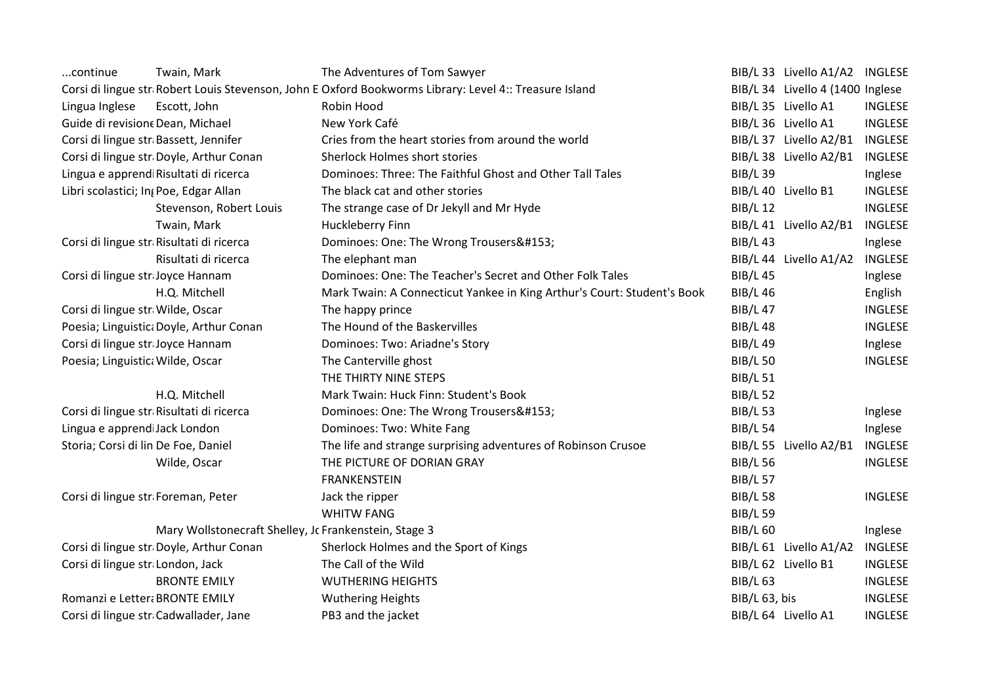| continue<br>Twain, Mark                   |                                                       | The Adventures of Tom Sawyer                                                                           |                 | BIB/L 33 Livello A1/A2 INGLESE   |                |
|-------------------------------------------|-------------------------------------------------------|--------------------------------------------------------------------------------------------------------|-----------------|----------------------------------|----------------|
|                                           |                                                       | Corsi di lingue str Robert Louis Stevenson, John E Oxford Bookworms Library: Level 4:: Treasure Island |                 | BIB/L 34 Livello 4 (1400 Inglese |                |
| Escott, John<br>Lingua Inglese            |                                                       | Robin Hood                                                                                             |                 | BIB/L 35 Livello A1              | <b>INGLESE</b> |
| Guide di revisione Dean, Michael          |                                                       | New York Café                                                                                          |                 | BIB/L 36 Livello A1              | <b>INGLESE</b> |
| Corsi di lingue str Bassett, Jennifer     |                                                       | Cries from the heart stories from around the world                                                     |                 | BIB/L 37 Livello A2/B1           | <b>INGLESE</b> |
| Corsi di lingue str. Doyle, Arthur Conan  |                                                       | Sherlock Holmes short stories                                                                          |                 | BIB/L 38 Livello A2/B1           | <b>INGLESE</b> |
| Lingua e apprendi Risultati di ricerca    |                                                       | Dominoes: Three: The Faithful Ghost and Other Tall Tales                                               | <b>BIB/L 39</b> |                                  | Inglese        |
| Libri scolastici; In Poe, Edgar Allan     |                                                       | The black cat and other stories                                                                        |                 | BIB/L 40 Livello B1              | <b>INGLESE</b> |
| Stevenson, Robert Louis                   |                                                       | The strange case of Dr Jekyll and Mr Hyde                                                              | <b>BIB/L 12</b> |                                  | <b>INGLESE</b> |
| Twain, Mark                               |                                                       | Huckleberry Finn                                                                                       |                 | BIB/L 41 Livello A2/B1           | <b>INGLESE</b> |
| Corsi di lingue stra Risultati di ricerca |                                                       | Dominoes: One: The Wrong Trousers™                                                                     | <b>BIB/L 43</b> |                                  | Inglese        |
| Risultati di ricerca                      |                                                       | The elephant man                                                                                       |                 | BIB/L 44 Livello A1/A2           | <b>INGLESE</b> |
| Corsi di lingue str Joyce Hannam          |                                                       | Dominoes: One: The Teacher's Secret and Other Folk Tales                                               | <b>BIB/L 45</b> |                                  | Inglese        |
| H.Q. Mitchell                             |                                                       | Mark Twain: A Connecticut Yankee in King Arthur's Court: Student's Book                                | <b>BIB/L 46</b> |                                  | English        |
| Corsi di lingue stra Wilde, Oscar         |                                                       | The happy prince                                                                                       | <b>BIB/L 47</b> |                                  | <b>INGLESE</b> |
| Poesia; Linguistic: Doyle, Arthur Conan   |                                                       | The Hound of the Baskervilles                                                                          | <b>BIB/L 48</b> |                                  | <b>INGLESE</b> |
| Corsi di lingue striJoyce Hannam          |                                                       | Dominoes: Two: Ariadne's Story                                                                         | <b>BIB/L 49</b> |                                  | Inglese        |
| Poesia; Linguistic: Wilde, Oscar          |                                                       | The Canterville ghost                                                                                  | <b>BIB/L 50</b> |                                  | <b>INGLESE</b> |
|                                           |                                                       | THE THIRTY NINE STEPS                                                                                  | <b>BIB/L 51</b> |                                  |                |
| H.Q. Mitchell                             |                                                       | Mark Twain: Huck Finn: Student's Book                                                                  | <b>BIB/L 52</b> |                                  |                |
| Corsi di lingue stra Risultati di ricerca |                                                       | Dominoes: One: The Wrong Trousers™                                                                     | <b>BIB/L 53</b> |                                  | Inglese        |
| Lingua e apprendiJack London              |                                                       | Dominoes: Two: White Fang                                                                              | <b>BIB/L 54</b> |                                  | Inglese        |
| Storia; Corsi di lin De Foe, Daniel       |                                                       | The life and strange surprising adventures of Robinson Crusoe                                          |                 | BIB/L 55 Livello A2/B1           | <b>INGLESE</b> |
| Wilde, Oscar                              |                                                       | THE PICTURE OF DORIAN GRAY                                                                             | <b>BIB/L 56</b> |                                  | <b>INGLESE</b> |
|                                           |                                                       | <b>FRANKENSTEIN</b>                                                                                    | <b>BIB/L 57</b> |                                  |                |
| Corsi di lingue stri Foreman, Peter       |                                                       | Jack the ripper                                                                                        | <b>BIB/L 58</b> |                                  | <b>INGLESE</b> |
|                                           |                                                       | <b>WHITW FANG</b>                                                                                      | <b>BIB/L 59</b> |                                  |                |
|                                           | Mary Wollstonecraft Shelley, Jc Frankenstein, Stage 3 |                                                                                                        | <b>BIB/L 60</b> |                                  | Inglese        |
| Corsi di lingue str. Doyle, Arthur Conan  |                                                       | Sherlock Holmes and the Sport of Kings                                                                 |                 | BIB/L 61 Livello A1/A2           | <b>INGLESE</b> |
| Corsi di lingue straLondon, Jack          |                                                       | The Call of the Wild                                                                                   |                 | BIB/L 62 Livello B1              | <b>INGLESE</b> |
| <b>BRONTE EMILY</b>                       |                                                       | <b>WUTHERING HEIGHTS</b>                                                                               | <b>BIB/L 63</b> |                                  | <b>INGLESE</b> |
| Romanzi e Lettera BRONTE EMILY            |                                                       | <b>Wuthering Heights</b>                                                                               | BIB/L 63, bis   |                                  | <b>INGLESE</b> |
| Corsi di lingue stra Cadwallader, Jane    |                                                       | PB3 and the jacket                                                                                     |                 | BIB/L 64 Livello A1              | <b>INGLESE</b> |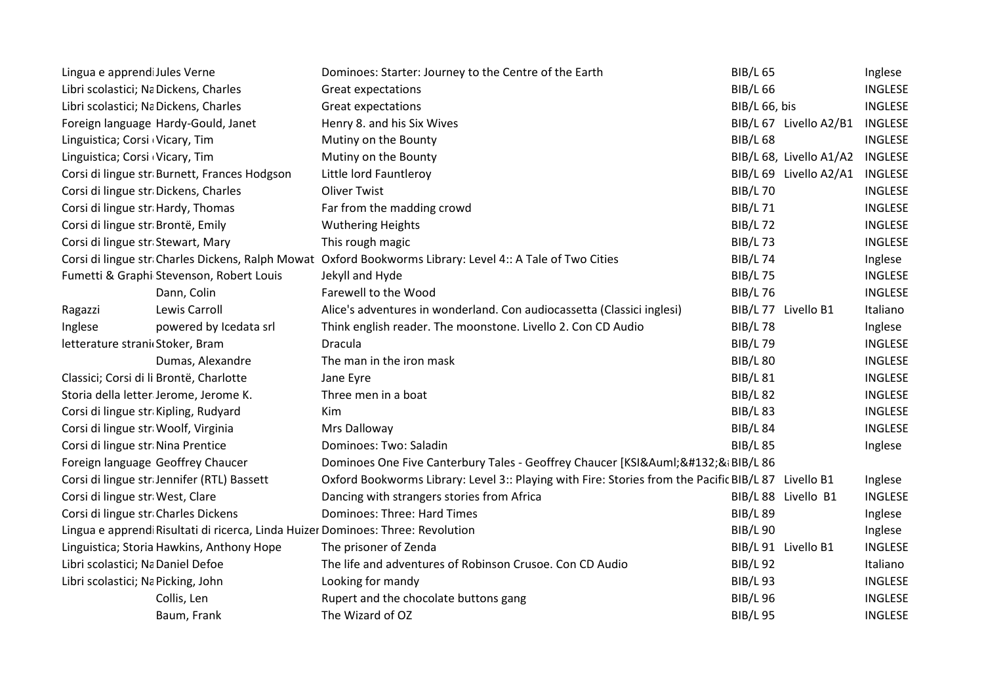| Lingua e apprendi Jules Verne       |                                                                                  | Dominoes: Starter: Journey to the Centre of the Earth                                                     | <b>BIB/L 65</b> |                         | Inglese        |
|-------------------------------------|----------------------------------------------------------------------------------|-----------------------------------------------------------------------------------------------------------|-----------------|-------------------------|----------------|
|                                     | Libri scolastici; Na Dickens, Charles                                            | Great expectations                                                                                        | <b>BIB/L 66</b> |                         | <b>INGLESE</b> |
|                                     | Libri scolastici; Na Dickens, Charles                                            | Great expectations                                                                                        | BIB/L 66, bis   |                         | <b>INGLESE</b> |
|                                     | Foreign language Hardy-Gould, Janet                                              | Henry 8. and his Six Wives                                                                                |                 | BIB/L 67 Livello A2/B1  | <b>INGLESE</b> |
| Linguistica; Corsi Vicary, Tim      |                                                                                  | Mutiny on the Bounty                                                                                      | <b>BIB/L 68</b> |                         | <b>INGLESE</b> |
| Linguistica; Corsi Vicary, Tim      |                                                                                  | Mutiny on the Bounty                                                                                      |                 | BIB/L 68, Livello A1/A2 | <b>INGLESE</b> |
|                                     | Corsi di lingue str Burnett, Frances Hodgson                                     | Little lord Fauntleroy                                                                                    |                 | BIB/L 69 Livello A2/A1  | <b>INGLESE</b> |
|                                     | Corsi di lingue straDickens, Charles                                             | <b>Oliver Twist</b>                                                                                       | <b>BIB/L70</b>  |                         | <b>INGLESE</b> |
| Corsi di lingue str Hardy, Thomas   |                                                                                  | Far from the madding crowd                                                                                | <b>BIB/L71</b>  |                         | <b>INGLESE</b> |
| Corsi di lingue str Brontë, Emily   |                                                                                  | <b>Wuthering Heights</b>                                                                                  | <b>BIB/L72</b>  |                         | <b>INGLESE</b> |
| Corsi di lingue str Stewart, Mary   |                                                                                  | This rough magic                                                                                          | <b>BIB/L73</b>  |                         | <b>INGLESE</b> |
|                                     |                                                                                  | Corsi di lingue straCharles Dickens, Ralph Mowat Oxford Bookworms Library: Level 4:: A Tale of Two Cities | <b>BIB/L 74</b> |                         | Inglese        |
|                                     | Fumetti & Graphi Stevenson, Robert Louis                                         | Jekyll and Hyde                                                                                           | <b>BIB/L75</b>  |                         | <b>INGLESE</b> |
|                                     | Dann, Colin                                                                      | Farewell to the Wood                                                                                      | <b>BIB/L76</b>  |                         | <b>INGLESE</b> |
| Ragazzi                             | Lewis Carroll                                                                    | Alice's adventures in wonderland. Con audiocassetta (Classici inglesi)                                    |                 | BIB/L 77 Livello B1     | Italiano       |
| Inglese                             | powered by Icedata srl                                                           | Think english reader. The moonstone. Livello 2. Con CD Audio                                              | <b>BIB/L78</b>  |                         | Inglese        |
| letterature strani Stoker, Bram     |                                                                                  | Dracula                                                                                                   | <b>BIB/L79</b>  |                         | <b>INGLESE</b> |
|                                     | Dumas, Alexandre                                                                 | The man in the iron mask                                                                                  | <b>BIB/L 80</b> |                         | <b>INGLESE</b> |
|                                     | Classici; Corsi di li Brontë, Charlotte                                          | Jane Eyre                                                                                                 | <b>BIB/L 81</b> |                         | <b>INGLESE</b> |
|                                     | Storia della letter Jerome, Jerome K.                                            | Three men in a boat                                                                                       | <b>BIB/L 82</b> |                         | <b>INGLESE</b> |
|                                     | Corsi di lingue str Kipling, Rudyard                                             | Kim                                                                                                       | <b>BIB/L 83</b> |                         | <b>INGLESE</b> |
| Corsi di lingue str Woolf, Virginia |                                                                                  | Mrs Dalloway                                                                                              | <b>BIB/L 84</b> |                         | <b>INGLESE</b> |
| Corsi di lingue stra Nina Prentice  |                                                                                  | Dominoes: Two: Saladin                                                                                    | <b>BIB/L 85</b> |                         | Inglese        |
|                                     | Foreign language Geoffrey Chaucer                                                | Dominoes One Five Canterbury Tales - Geoffrey Chaucer [KSIÄ & #132; & BIB/L 86                            |                 |                         |                |
|                                     | Corsi di lingue str Jennifer (RTL) Bassett                                       | Oxford Bookworms Library: Level 3:: Playing with Fire: Stories from the Pacific BIB/L 87 Livello B1       |                 |                         | Inglese        |
| Corsi di lingue str West, Clare     |                                                                                  | Dancing with strangers stories from Africa                                                                |                 | BIB/L 88 Livello B1     | <b>INGLESE</b> |
|                                     | Corsi di lingue stri Charles Dickens                                             | Dominoes: Three: Hard Times                                                                               | <b>BIB/L 89</b> |                         | Inglese        |
|                                     | Lingua e apprendi Risultati di ricerca, Linda Huizer Dominoes: Three: Revolution |                                                                                                           | <b>BIB/L 90</b> |                         | Inglese        |
|                                     | Linguistica; Storia Hawkins, Anthony Hope                                        | The prisoner of Zenda                                                                                     |                 | BIB/L 91 Livello B1     | <b>INGLESE</b> |
| Libri scolastici; Na Daniel Defoe   |                                                                                  | The life and adventures of Robinson Crusoe. Con CD Audio                                                  | <b>BIB/L 92</b> |                         | Italiano       |
| Libri scolastici; Na Picking, John  |                                                                                  | Looking for mandy                                                                                         | <b>BIB/L 93</b> |                         | <b>INGLESE</b> |
|                                     | Collis, Len                                                                      | Rupert and the chocolate buttons gang                                                                     | <b>BIB/L 96</b> |                         | <b>INGLESE</b> |
|                                     | Baum, Frank                                                                      | The Wizard of OZ                                                                                          | <b>BIB/L 95</b> |                         | <b>INGLESE</b> |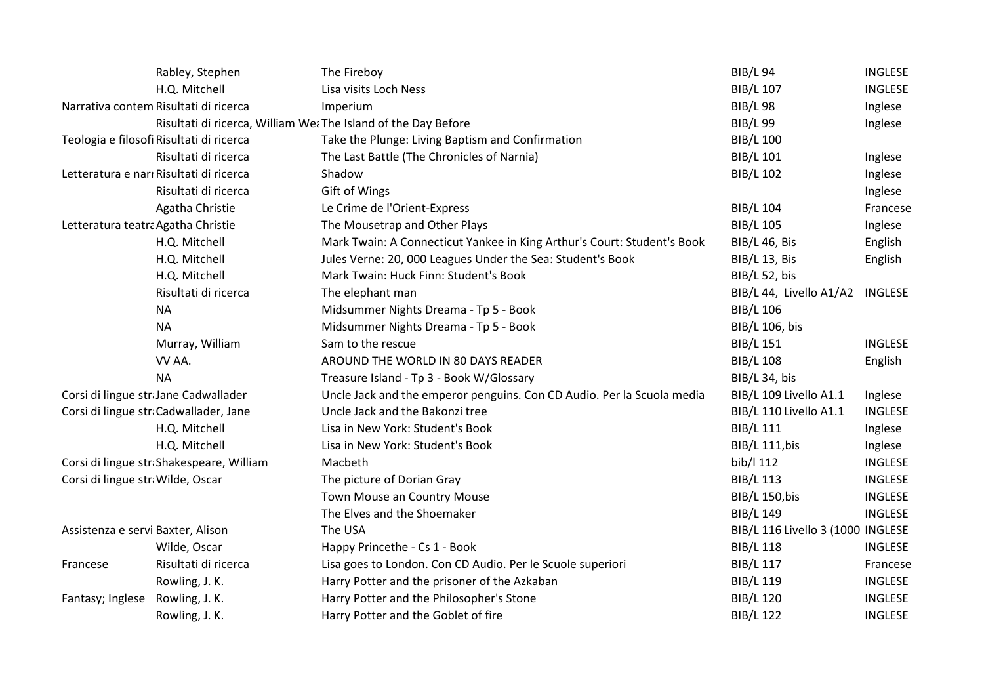|                                    | Rabley, Stephen                                                | The Fireboy                                                             | <b>BIB/L 94</b>                   | <b>INGLESE</b> |
|------------------------------------|----------------------------------------------------------------|-------------------------------------------------------------------------|-----------------------------------|----------------|
|                                    | H.Q. Mitchell                                                  | Lisa visits Loch Ness                                                   | <b>BIB/L 107</b>                  | <b>INGLESE</b> |
|                                    | Narrativa contem Risultati di ricerca                          | Imperium                                                                | <b>BIB/L 98</b>                   | Inglese        |
|                                    | Risultati di ricerca, William We: The Island of the Day Before |                                                                         | <b>BIB/L 99</b>                   | Inglese        |
|                                    | Teologia e filosofi Risultati di ricerca                       | Take the Plunge: Living Baptism and Confirmation                        | BIB/L 100                         |                |
|                                    | Risultati di ricerca                                           | The Last Battle (The Chronicles of Narnia)                              | <b>BIB/L 101</b>                  | Inglese        |
|                                    | Letteratura e nari Risultati di ricerca                        | Shadow                                                                  | <b>BIB/L 102</b>                  | Inglese        |
|                                    | Risultati di ricerca                                           | <b>Gift of Wings</b>                                                    |                                   | Inglese        |
|                                    | Agatha Christie                                                | Le Crime de l'Orient-Express                                            | BIB/L 104                         | Francese       |
| Letteratura teatra Agatha Christie |                                                                | The Mousetrap and Other Plays                                           | <b>BIB/L 105</b>                  | Inglese        |
|                                    | H.Q. Mitchell                                                  | Mark Twain: A Connecticut Yankee in King Arthur's Court: Student's Book | <b>BIB/L 46, Bis</b>              | English        |
|                                    | H.Q. Mitchell                                                  | Jules Verne: 20, 000 Leagues Under the Sea: Student's Book              | BIB/L 13, Bis                     | English        |
|                                    | H.Q. Mitchell                                                  | Mark Twain: Huck Finn: Student's Book                                   | BIB/L 52, bis                     |                |
|                                    | Risultati di ricerca                                           | The elephant man                                                        | BIB/L 44, Livello A1/A2           | <b>INGLESE</b> |
|                                    | <b>NA</b>                                                      | Midsummer Nights Dreama - Tp 5 - Book                                   | <b>BIB/L 106</b>                  |                |
|                                    | <b>NA</b>                                                      | Midsummer Nights Dreama - Tp 5 - Book                                   | BIB/L 106, bis                    |                |
|                                    | Murray, William                                                | Sam to the rescue                                                       | BIB/L 151                         | <b>INGLESE</b> |
|                                    | VV AA.                                                         | AROUND THE WORLD IN 80 DAYS READER                                      | <b>BIB/L 108</b>                  | English        |
|                                    | <b>NA</b>                                                      | Treasure Island - Tp 3 - Book W/Glossary                                | BIB/L 34, bis                     |                |
|                                    | Corsi di lingue stri Jane Cadwallader                          | Uncle Jack and the emperor penguins. Con CD Audio. Per la Scuola media  | BIB/L 109 Livello A1.1            | Inglese        |
|                                    | Corsi di lingue straCadwallader, Jane                          | Uncle Jack and the Bakonzi tree                                         | BIB/L 110 Livello A1.1            | <b>INGLESE</b> |
|                                    | H.Q. Mitchell                                                  | Lisa in New York: Student's Book                                        | <b>BIB/L 111</b>                  | Inglese        |
|                                    | H.Q. Mitchell                                                  | Lisa in New York: Student's Book                                        | <b>BIB/L 111, bis</b>             | Inglese        |
|                                    | Corsi di lingue straShakespeare, William                       | Macbeth                                                                 | bib/l 112                         | <b>INGLESE</b> |
| Corsi di lingue str Wilde, Oscar   |                                                                | The picture of Dorian Gray                                              | <b>BIB/L 113</b>                  | <b>INGLESE</b> |
|                                    |                                                                | Town Mouse an Country Mouse                                             | <b>BIB/L 150,bis</b>              | <b>INGLESE</b> |
|                                    |                                                                | The Elves and the Shoemaker                                             | <b>BIB/L 149</b>                  | <b>INGLESE</b> |
| Assistenza e servi Baxter, Alison  |                                                                | The USA                                                                 | BIB/L 116 Livello 3 (1000 INGLESE |                |
|                                    | Wilde, Oscar                                                   | Happy Princethe - Cs 1 - Book                                           | <b>BIB/L 118</b>                  | <b>INGLESE</b> |
| Francese                           | Risultati di ricerca                                           | Lisa goes to London. Con CD Audio. Per le Scuole superiori              | <b>BIB/L 117</b>                  | Francese       |
|                                    | Rowling, J. K.                                                 | Harry Potter and the prisoner of the Azkaban                            | BIB/L 119                         | <b>INGLESE</b> |
| Fantasy; Inglese                   | Rowling, J. K.                                                 | Harry Potter and the Philosopher's Stone                                | <b>BIB/L 120</b>                  | <b>INGLESE</b> |
|                                    | Rowling, J. K.                                                 | Harry Potter and the Goblet of fire                                     | <b>BIB/L 122</b>                  | <b>INGLESE</b> |
|                                    |                                                                |                                                                         |                                   |                |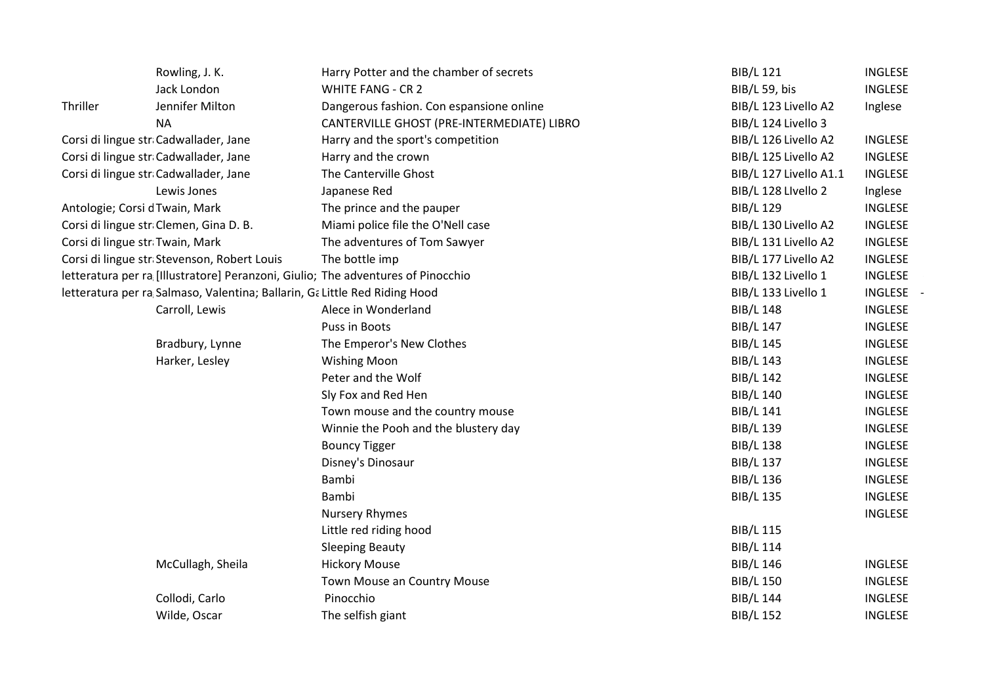|          | Rowling, J. K.                                                             | Harry Potter and the chamber of secrets                                          | <b>BIB/L 121</b>       | <b>INGLESE</b> |
|----------|----------------------------------------------------------------------------|----------------------------------------------------------------------------------|------------------------|----------------|
|          | Jack London                                                                | <b>WHITE FANG - CR 2</b>                                                         | BIB/L 59, bis          | <b>INGLESE</b> |
| Thriller | Jennifer Milton                                                            | Dangerous fashion. Con espansione online                                         | BIB/L 123 Livello A2   | Inglese        |
|          | <b>NA</b>                                                                  | CANTERVILLE GHOST (PRE-INTERMEDIATE) LIBRO                                       | BIB/L 124 Livello 3    |                |
|          | Corsi di lingue stri Cadwallader, Jane                                     | Harry and the sport's competition                                                | BIB/L 126 Livello A2   | <b>INGLESE</b> |
|          | Corsi di lingue stri Cadwallader, Jane                                     | Harry and the crown                                                              | BIB/L 125 Livello A2   | <b>INGLESE</b> |
|          | Corsi di lingue stra Cadwallader, Jane                                     | The Canterville Ghost                                                            | BIB/L 127 Livello A1.1 | <b>INGLESE</b> |
|          | Lewis Jones                                                                | Japanese Red                                                                     | BIB/L 128 Livello 2    | Inglese        |
|          | Antologie; Corsi dTwain, Mark                                              | The prince and the pauper                                                        | <b>BIB/L 129</b>       | <b>INGLESE</b> |
|          | Corsi di lingue str. Clemen, Gina D. B.                                    | Miami police file the O'Nell case                                                | BIB/L 130 Livello A2   | <b>INGLESE</b> |
|          | Corsi di lingue str Twain, Mark                                            | The adventures of Tom Sawyer                                                     | BIB/L 131 Livello A2   | <b>INGLESE</b> |
|          | Corsi di lingue straStevenson, Robert Louis                                | The bottle imp                                                                   | BIB/L 177 Livello A2   | <b>INGLESE</b> |
|          |                                                                            | letteratura per ra [Illustratore] Peranzoni, Giulio; The adventures of Pinocchio | BIB/L 132 Livello 1    | <b>INGLESE</b> |
|          | letteratura per ra Salmaso, Valentina; Ballarin, Ga Little Red Riding Hood |                                                                                  | BIB/L 133 Livello 1    | INGLESE -      |
|          | Carroll, Lewis                                                             | Alece in Wonderland                                                              | <b>BIB/L 148</b>       | <b>INGLESE</b> |
|          |                                                                            | Puss in Boots                                                                    | <b>BIB/L 147</b>       | <b>INGLESE</b> |
|          | Bradbury, Lynne                                                            | The Emperor's New Clothes                                                        | <b>BIB/L 145</b>       | <b>INGLESE</b> |
|          | Harker, Lesley                                                             | <b>Wishing Moon</b>                                                              | <b>BIB/L 143</b>       | <b>INGLESE</b> |
|          |                                                                            | Peter and the Wolf                                                               | <b>BIB/L 142</b>       | <b>INGLESE</b> |
|          |                                                                            | Sly Fox and Red Hen                                                              | <b>BIB/L 140</b>       | <b>INGLESE</b> |
|          |                                                                            | Town mouse and the country mouse                                                 | <b>BIB/L 141</b>       | <b>INGLESE</b> |
|          |                                                                            | Winnie the Pooh and the blustery day                                             | <b>BIB/L 139</b>       | <b>INGLESE</b> |
|          |                                                                            | <b>Bouncy Tigger</b>                                                             | <b>BIB/L 138</b>       | <b>INGLESE</b> |
|          |                                                                            | Disney's Dinosaur                                                                | <b>BIB/L 137</b>       | <b>INGLESE</b> |
|          |                                                                            | Bambi                                                                            | <b>BIB/L 136</b>       | <b>INGLESE</b> |
|          |                                                                            | Bambi                                                                            | <b>BIB/L 135</b>       | <b>INGLESE</b> |
|          |                                                                            | <b>Nursery Rhymes</b>                                                            |                        | <b>INGLESE</b> |
|          |                                                                            | Little red riding hood                                                           | <b>BIB/L 115</b>       |                |
|          |                                                                            | <b>Sleeping Beauty</b>                                                           | <b>BIB/L 114</b>       |                |
|          | McCullagh, Sheila                                                          | <b>Hickory Mouse</b>                                                             | <b>BIB/L 146</b>       | <b>INGLESE</b> |
|          |                                                                            | Town Mouse an Country Mouse                                                      | <b>BIB/L 150</b>       | <b>INGLESE</b> |
|          | Collodi, Carlo                                                             | Pinocchio                                                                        | <b>BIB/L 144</b>       | <b>INGLESE</b> |
|          | Wilde, Oscar                                                               | The selfish giant                                                                | <b>BIB/L 152</b>       | <b>INGLESE</b> |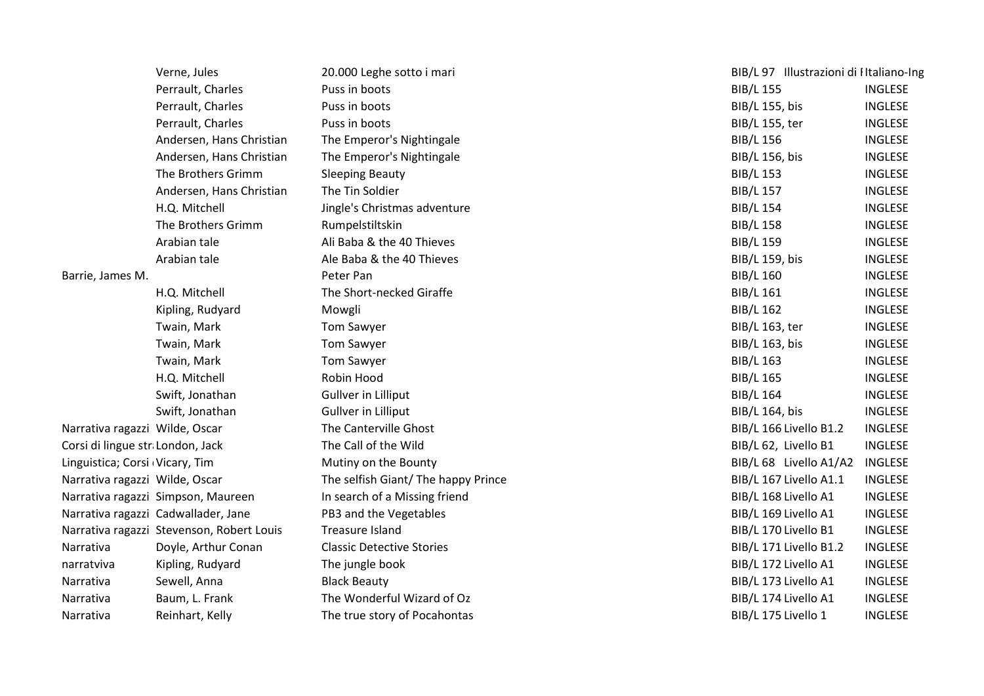|                                  | Verne, Jules                              | 20.000 Leghe sotto i mari           | BIB/L 97 Illustrazioni di Iltaliano-Ing |                |
|----------------------------------|-------------------------------------------|-------------------------------------|-----------------------------------------|----------------|
|                                  | Perrault, Charles                         | Puss in boots                       | <b>BIB/L 155</b>                        | <b>INGLESE</b> |
|                                  | Perrault, Charles                         | Puss in boots                       | BIB/L 155, bis                          | <b>INGLESE</b> |
|                                  | Perrault, Charles                         | Puss in boots                       | BIB/L 155, ter                          | <b>INGLESE</b> |
|                                  | Andersen, Hans Christian                  | The Emperor's Nightingale           | BIB/L 156                               | <b>INGLESE</b> |
|                                  | Andersen, Hans Christian                  | The Emperor's Nightingale           | BIB/L 156, bis                          | <b>INGLESE</b> |
|                                  | The Brothers Grimm                        | <b>Sleeping Beauty</b>              | <b>BIB/L 153</b>                        | <b>INGLESE</b> |
|                                  | Andersen, Hans Christian                  | The Tin Soldier                     | <b>BIB/L 157</b>                        | <b>INGLESE</b> |
|                                  | H.Q. Mitchell                             | Jingle's Christmas adventure        | <b>BIB/L 154</b>                        | <b>INGLESE</b> |
|                                  | The Brothers Grimm                        | Rumpelstiltskin                     | <b>BIB/L 158</b>                        | <b>INGLESE</b> |
|                                  | Arabian tale                              | Ali Baba & the 40 Thieves           | <b>BIB/L 159</b>                        | <b>INGLESE</b> |
|                                  | Arabian tale                              | Ale Baba & the 40 Thieves           | BIB/L 159, bis                          | <b>INGLESE</b> |
| Barrie, James M.                 |                                           | Peter Pan                           | <b>BIB/L 160</b>                        | <b>INGLESE</b> |
|                                  | H.Q. Mitchell                             | The Short-necked Giraffe            | <b>BIB/L 161</b>                        | <b>INGLESE</b> |
|                                  | Kipling, Rudyard                          | Mowgli                              | <b>BIB/L 162</b>                        | <b>INGLESE</b> |
|                                  | Twain, Mark                               | Tom Sawyer                          | BIB/L 163, ter                          | <b>INGLESE</b> |
|                                  | Twain, Mark                               | Tom Sawyer                          | BIB/L 163, bis                          | <b>INGLESE</b> |
|                                  | Twain, Mark                               | Tom Sawyer                          | BIB/L 163                               | <b>INGLESE</b> |
|                                  | H.Q. Mitchell                             | Robin Hood                          | BIB/L 165                               | <b>INGLESE</b> |
|                                  | Swift, Jonathan                           | Gullver in Lilliput                 | <b>BIB/L 164</b>                        | <b>INGLESE</b> |
|                                  | Swift, Jonathan                           | Gullver in Lilliput                 | BIB/L 164, bis                          | <b>INGLESE</b> |
| Narrativa ragazzi Wilde, Oscar   |                                           | The Canterville Ghost               | BIB/L 166 Livello B1.2                  | <b>INGLESE</b> |
| Corsi di lingue str London, Jack |                                           | The Call of the Wild                | BIB/L 62, Livello B1                    | <b>INGLESE</b> |
| Linguistica; Corsi Vicary, Tim   |                                           | Mutiny on the Bounty                | BIB/L 68 Livello A1/A2                  | <b>INGLESE</b> |
| Narrativa ragazzi Wilde, Oscar   |                                           | The selfish Giant/ The happy Prince | BIB/L 167 Livello A1.1                  | <b>INGLESE</b> |
|                                  | Narrativa ragazzi Simpson, Maureen        | In search of a Missing friend       | BIB/L 168 Livello A1                    | <b>INGLESE</b> |
|                                  | Narrativa ragazzi Cadwallader, Jane       | PB3 and the Vegetables              | BIB/L 169 Livello A1                    | <b>INGLESE</b> |
|                                  | Narrativa ragazzi Stevenson, Robert Louis | <b>Treasure Island</b>              | BIB/L 170 Livello B1                    | <b>INGLESE</b> |
| Narrativa                        | Doyle, Arthur Conan                       | <b>Classic Detective Stories</b>    | BIB/L 171 Livello B1.2                  | <b>INGLESE</b> |
| narratviva                       | Kipling, Rudyard                          | The jungle book                     | BIB/L 172 Livello A1                    | <b>INGLESE</b> |
| Narrativa                        | Sewell, Anna                              | <b>Black Beauty</b>                 | BIB/L 173 Livello A1                    | <b>INGLESE</b> |
| Narrativa                        | Baum, L. Frank                            | The Wonderful Wizard of Oz          | BIB/L 174 Livello A1                    | <b>INGLESE</b> |
| Narrativa                        | Reinhart, Kelly                           | The true story of Pocahontas        | BIB/L 175 Livello 1                     | <b>INGLESE</b> |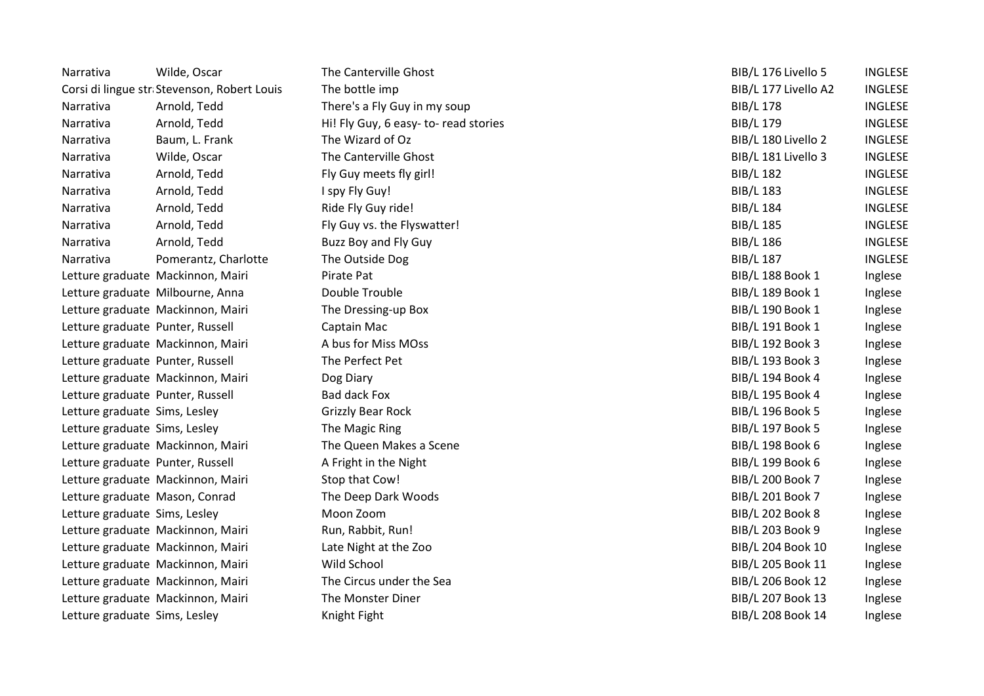| Wilde, Oscar<br>Narrativa                   | The Canterville Ghost                 | BIB/L 176 Livello 5      | <b>INGLESE</b> |
|---------------------------------------------|---------------------------------------|--------------------------|----------------|
| Corsi di lingue str Stevenson, Robert Louis | The bottle imp                        | BIB/L 177 Livello A2     | <b>INGLESE</b> |
| Arnold, Tedd<br>Narrativa                   | There's a Fly Guy in my soup          | <b>BIB/L 178</b>         | <b>INGLESE</b> |
| Arnold, Tedd<br>Narrativa                   | Hi! Fly Guy, 6 easy- to- read stories | <b>BIB/L 179</b>         | <b>INGLESE</b> |
| Narrativa<br>Baum, L. Frank                 | The Wizard of Oz                      | BIB/L 180 Livello 2      | <b>INGLESE</b> |
| Narrativa<br>Wilde, Oscar                   | The Canterville Ghost                 | BIB/L 181 Livello 3      | <b>INGLESE</b> |
| Arnold, Tedd<br>Narrativa                   | Fly Guy meets fly girl!               | <b>BIB/L 182</b>         | <b>INGLESE</b> |
| Narrativa<br>Arnold, Tedd                   | I spy Fly Guy!                        | <b>BIB/L 183</b>         | <b>INGLESE</b> |
| Arnold, Tedd<br>Narrativa                   | Ride Fly Guy ride!                    | <b>BIB/L 184</b>         | <b>INGLESE</b> |
| Arnold, Tedd<br>Narrativa                   | Fly Guy vs. the Flyswatter!           | <b>BIB/L 185</b>         | <b>INGLESE</b> |
| Narrativa<br>Arnold, Tedd                   | Buzz Boy and Fly Guy                  | <b>BIB/L 186</b>         | <b>INGLESE</b> |
| Narrativa<br>Pomerantz, Charlotte           | The Outside Dog                       | <b>BIB/L 187</b>         | <b>INGLESE</b> |
| Letture graduate Mackinnon, Mairi           | Pirate Pat                            | <b>BIB/L 188 Book 1</b>  | Inglese        |
| Letture graduate Milbourne, Anna            | Double Trouble                        | <b>BIB/L 189 Book 1</b>  | Inglese        |
| Letture graduate Mackinnon, Mairi           | The Dressing-up Box                   | <b>BIB/L 190 Book 1</b>  | Inglese        |
| Letture graduate Punter, Russell            | Captain Mac                           | BIB/L 191 Book 1         | Inglese        |
| Letture graduate Mackinnon, Mairi           | A bus for Miss MOss                   | <b>BIB/L 192 Book 3</b>  | Inglese        |
| Letture graduate Punter, Russell            | The Perfect Pet                       | <b>BIB/L 193 Book 3</b>  | Inglese        |
| Letture graduate Mackinnon, Mairi           | Dog Diary                             | <b>BIB/L 194 Book 4</b>  | Inglese        |
| Letture graduate Punter, Russell            | Bad dack Fox                          | <b>BIB/L 195 Book 4</b>  | Inglese        |
| Letture graduate Sims, Lesley               | <b>Grizzly Bear Rock</b>              | <b>BIB/L 196 Book 5</b>  | Inglese        |
| Letture graduate Sims, Lesley               | The Magic Ring                        | <b>BIB/L 197 Book 5</b>  | Inglese        |
| Letture graduate Mackinnon, Mairi           | The Queen Makes a Scene               | <b>BIB/L 198 Book 6</b>  | Inglese        |
| Letture graduate Punter, Russell            | A Fright in the Night                 | BIB/L 199 Book 6         | Inglese        |
| Letture graduate Mackinnon, Mairi           | Stop that Cow!                        | <b>BIB/L 200 Book 7</b>  | Inglese        |
| Letture graduate Mason, Conrad              | The Deep Dark Woods                   | <b>BIB/L 201 Book 7</b>  | Inglese        |
| Letture graduate Sims, Lesley               | Moon Zoom                             | <b>BIB/L 202 Book 8</b>  | Inglese        |
| Letture graduate Mackinnon, Mairi           | Run, Rabbit, Run!                     | BIB/L 203 Book 9         | Inglese        |
| Letture graduate Mackinnon, Mairi           | Late Night at the Zoo                 | <b>BIB/L 204 Book 10</b> | Inglese        |
| Letture graduate Mackinnon, Mairi           | Wild School                           | BIB/L 205 Book 11        | Inglese        |
| Letture graduate Mackinnon, Mairi           | The Circus under the Sea              | BIB/L 206 Book 12        | Inglese        |
| Letture graduate Mackinnon, Mairi           | The Monster Diner                     | BIB/L 207 Book 13        | Inglese        |
| Letture graduate Sims, Lesley               | Knight Fight                          | BIB/L 208 Book 14        | Inglese        |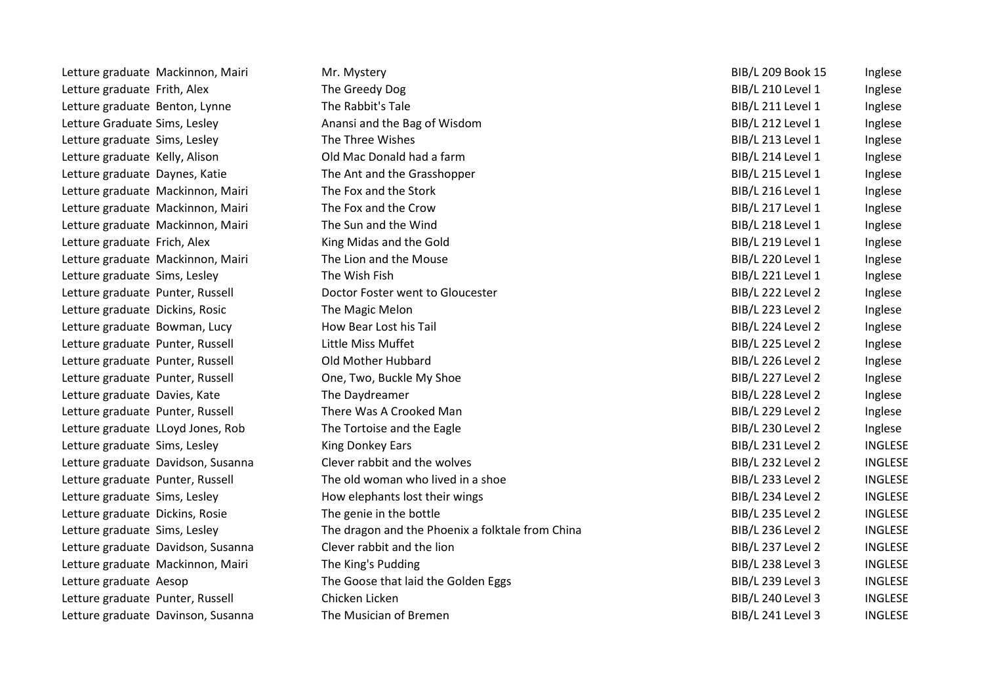| Letture graduate Frith, Alex<br>The Greedy Dog<br>Letture graduate Benton, Lynne<br>The Rabbit's Tale<br>Anansi and the Bag of Wisdom<br>Letture Graduate Sims, Lesley<br>Letture graduate Sims, Lesley<br>The Three Wishes<br>Old Mac Donald had a farm<br>Letture graduate Kelly, Alison<br>Letture graduate Daynes, Katie<br>The Ant and the Grasshopper<br>The Fox and the Stork<br>Letture graduate Mackinnon, Mairi<br>The Fox and the Crow<br>Letture graduate Mackinnon, Mairi<br>The Sun and the Wind<br>Letture graduate Mackinnon, Mairi<br>Letture graduate Frich, Alex<br>King Midas and the Gold | BIB/L 209 Book 15        | Inglese        |
|----------------------------------------------------------------------------------------------------------------------------------------------------------------------------------------------------------------------------------------------------------------------------------------------------------------------------------------------------------------------------------------------------------------------------------------------------------------------------------------------------------------------------------------------------------------------------------------------------------------|--------------------------|----------------|
|                                                                                                                                                                                                                                                                                                                                                                                                                                                                                                                                                                                                                | <b>BIB/L 210 Level 1</b> | Inglese        |
|                                                                                                                                                                                                                                                                                                                                                                                                                                                                                                                                                                                                                | <b>BIB/L 211 Level 1</b> | Inglese        |
|                                                                                                                                                                                                                                                                                                                                                                                                                                                                                                                                                                                                                | <b>BIB/L 212 Level 1</b> | Inglese        |
|                                                                                                                                                                                                                                                                                                                                                                                                                                                                                                                                                                                                                | <b>BIB/L 213 Level 1</b> | Inglese        |
|                                                                                                                                                                                                                                                                                                                                                                                                                                                                                                                                                                                                                | BIB/L 214 Level 1        | Inglese        |
|                                                                                                                                                                                                                                                                                                                                                                                                                                                                                                                                                                                                                | <b>BIB/L 215 Level 1</b> | Inglese        |
|                                                                                                                                                                                                                                                                                                                                                                                                                                                                                                                                                                                                                | <b>BIB/L 216 Level 1</b> | Inglese        |
|                                                                                                                                                                                                                                                                                                                                                                                                                                                                                                                                                                                                                | <b>BIB/L 217 Level 1</b> | Inglese        |
|                                                                                                                                                                                                                                                                                                                                                                                                                                                                                                                                                                                                                | <b>BIB/L 218 Level 1</b> | Inglese        |
|                                                                                                                                                                                                                                                                                                                                                                                                                                                                                                                                                                                                                | <b>BIB/L 219 Level 1</b> | Inglese        |
| Letture graduate Mackinnon, Mairi<br>The Lion and the Mouse                                                                                                                                                                                                                                                                                                                                                                                                                                                                                                                                                    | <b>BIB/L 220 Level 1</b> | Inglese        |
| The Wish Fish<br>Letture graduate Sims, Lesley                                                                                                                                                                                                                                                                                                                                                                                                                                                                                                                                                                 | <b>BIB/L 221 Level 1</b> | Inglese        |
| Letture graduate Punter, Russell<br>Doctor Foster went to Gloucester                                                                                                                                                                                                                                                                                                                                                                                                                                                                                                                                           | <b>BIB/L 222 Level 2</b> | Inglese        |
| Letture graduate Dickins, Rosic<br>The Magic Melon                                                                                                                                                                                                                                                                                                                                                                                                                                                                                                                                                             | <b>BIB/L 223 Level 2</b> | Inglese        |
| Letture graduate Bowman, Lucy<br>How Bear Lost his Tail                                                                                                                                                                                                                                                                                                                                                                                                                                                                                                                                                        | <b>BIB/L 224 Level 2</b> | Inglese        |
| Little Miss Muffet<br>Letture graduate Punter, Russell                                                                                                                                                                                                                                                                                                                                                                                                                                                                                                                                                         | BIB/L 225 Level 2        | Inglese        |
| Old Mother Hubbard<br>Letture graduate Punter, Russell                                                                                                                                                                                                                                                                                                                                                                                                                                                                                                                                                         | <b>BIB/L 226 Level 2</b> | Inglese        |
| Letture graduate Punter, Russell<br>One, Two, Buckle My Shoe                                                                                                                                                                                                                                                                                                                                                                                                                                                                                                                                                   | <b>BIB/L 227 Level 2</b> | Inglese        |
| Letture graduate Davies, Kate<br>The Daydreamer                                                                                                                                                                                                                                                                                                                                                                                                                                                                                                                                                                | <b>BIB/L 228 Level 2</b> | Inglese        |
| Letture graduate Punter, Russell<br>There Was A Crooked Man                                                                                                                                                                                                                                                                                                                                                                                                                                                                                                                                                    | <b>BIB/L 229 Level 2</b> | Inglese        |
| Letture graduate LLoyd Jones, Rob<br>The Tortoise and the Eagle                                                                                                                                                                                                                                                                                                                                                                                                                                                                                                                                                | <b>BIB/L 230 Level 2</b> | Inglese        |
| Letture graduate Sims, Lesley<br>King Donkey Ears                                                                                                                                                                                                                                                                                                                                                                                                                                                                                                                                                              | <b>BIB/L 231 Level 2</b> | <b>INGLESE</b> |
| Letture graduate Davidson, Susanna<br>Clever rabbit and the wolves                                                                                                                                                                                                                                                                                                                                                                                                                                                                                                                                             | BIB/L 232 Level 2        | <b>INGLESE</b> |
| The old woman who lived in a shoe<br>Letture graduate Punter, Russell                                                                                                                                                                                                                                                                                                                                                                                                                                                                                                                                          | <b>BIB/L 233 Level 2</b> | <b>INGLESE</b> |
| Letture graduate Sims, Lesley<br>How elephants lost their wings                                                                                                                                                                                                                                                                                                                                                                                                                                                                                                                                                | BIB/L 234 Level 2        | <b>INGLESE</b> |
| Letture graduate Dickins, Rosie<br>The genie in the bottle                                                                                                                                                                                                                                                                                                                                                                                                                                                                                                                                                     | <b>BIB/L 235 Level 2</b> | <b>INGLESE</b> |
| Letture graduate Sims, Lesley<br>The dragon and the Phoenix a folktale from China                                                                                                                                                                                                                                                                                                                                                                                                                                                                                                                              | <b>BIB/L 236 Level 2</b> | <b>INGLESE</b> |
| Clever rabbit and the lion<br>Letture graduate Davidson, Susanna                                                                                                                                                                                                                                                                                                                                                                                                                                                                                                                                               | <b>BIB/L 237 Level 2</b> | <b>INGLESE</b> |
| Letture graduate Mackinnon, Mairi<br>The King's Pudding                                                                                                                                                                                                                                                                                                                                                                                                                                                                                                                                                        | BIB/L 238 Level 3        | <b>INGLESE</b> |
| Letture graduate Aesop<br>The Goose that laid the Golden Eggs                                                                                                                                                                                                                                                                                                                                                                                                                                                                                                                                                  | BIB/L 239 Level 3        | <b>INGLESE</b> |
| Letture graduate Punter, Russell<br>Chicken Licken                                                                                                                                                                                                                                                                                                                                                                                                                                                                                                                                                             | BIB/L 240 Level 3        | <b>INGLESE</b> |
| Letture graduate Davinson, Susanna<br>The Musician of Bremen                                                                                                                                                                                                                                                                                                                                                                                                                                                                                                                                                   | <b>BIB/L 241 Level 3</b> | <b>INGLESE</b> |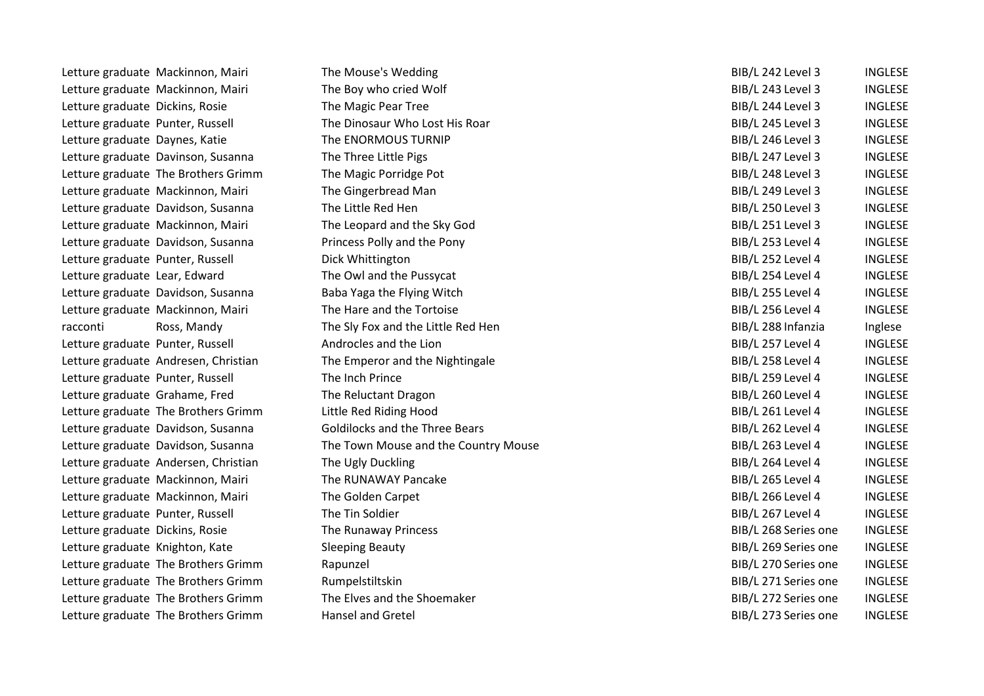Letture graduate Mackinnon. Mairi **The Boy who cried Wolf** BIB/L 243 Level 3 INGLESE Letture graduate Dickins, Rosie **The Magic Pear Tree** BIB/L 244 Level 3 INGLESE Letture graduate Punter, Russell **The Dinosaur Who Lost His Roar** School Communication and BIB/L 245 Level 3 INGLESE Letture graduate Daynes, Katie **The ENORMOUS TURNIP** Entertainment of the ENORMOUS TURNIP BIB/L 246 Level 3 INGLESE Letture graduate Davinson, Susanna The Three Little Pigs BIB/L 247 Level 3 INGLESE Letture graduate The Brothers Grimm The Magic Porridge Pot **Example 20 and Struck 248 Level 3** INGLESE Letture graduate Mackinnon, Mairi **The Gingerbread Man** BIB/L 249 Level 3 INGLESE Letture graduate Davidson, Susanna The Little Red Hen BIB/L 250 Level 3 INGLESE Letture graduate Mackinnon, Mairi **The Leopard and the Sky God** BIB/L 251 Level 3 INGLESE Letture graduate Davidson, Susanna Princess Polly and the Pony BIB/L 253 Level 4 INGLESE Letture graduate Punter, Russell Dick Whittington BIB/L 252 Level 4 INGLESE Letture graduate Lear, Edward The Owl and the Pussycat **Example 2008** and the Pussycat BIB/L 254 Level 4 INGLESE Letture graduate Davidson, Susanna Baba Yaga the Flying Witch BIB/L 255 Level 4 INGLESE Letture graduate Mackinnon. Mairi **The Hare and the Tortoise** BIB/L 256 Level 4 INGLESE racconti Ross, Mandy The Sly Fox and the Little Red Hen BIB/L 288 Infanzia Inglese Letture graduate Punter, Russell **Androcles and the Lion** BIB/L 257 Level 4 INGLESE Letture graduate Andresen, Christian The Emperor and the Nightingale **Emperor and the Nightingale** BIB/L 258 Level 4 INGLESE Letture graduate Punter, Russell The Inch Prince BIB/L 259 Level 4 INGLESE Letture graduate Grahame, Fred The Reluctant Dragon BIB/L 260 Level 4 INGLESE Letture graduate The Brothers Grimm and Little Red Riding Hood **BIB/L 261 Level 4** INGLESE Letture graduate Davidson, Susanna Goldilocks and the Three Bears **BIB/L 262 Level 4** INGLESE Letture graduate Davidson, Susanna The Town Mouse and the Country Mouse The Town BIB/L 263 Level 4 INGLESE Letture graduate Andersen, Christian The Ugly Duckling BIB/L 264 Level 4 INGLESE Letture graduate Mackinnon, Mairi **The RUNAWAY Pancake Communist Communist Communist Communist Communist Communist Communist Communist Communist Communist Communist Communist Communist Communist Communist Communist Communi** Letture graduate Mackinnon, Mairi The Golden Carpet **Example 20 and Server And Accept** BIB/L 266 Level 4 INGLESE Letture graduate Punter, Russell **The Tim Soldier According the Time Soldier** According to the Time School and Time School and Time School and Time School and Time School and Time School and Time School and Time School and Letture graduate Dickins, Rosie **The Runaway Princess** Bible The State The Series one INGLESE Letture graduate Knighton, Kate Sleeping Beauty BIB/L 269 Series one INGLESE Letture graduate The Brothers Grimm and Rapunzel Rapunzel BIB/L 270 Series one INGLESE Letture graduate The Brothers Grimm and Rumpelstiltskin BIB and the United States one INGLESE Letture graduate The Brothers Grimm The Elves and the Shoemaker Shoemaker Show The Shoemaker BIB/L 272 Series one INGLESE Letture graduate The Brothers Grimm and Hansel and Gretel BIB 273 Series one INGLESE

Letture graduate Mackinnon, Mairi **The Mouse's Wedding State Account 2006** BIB/L 242 Level 3 INGLESE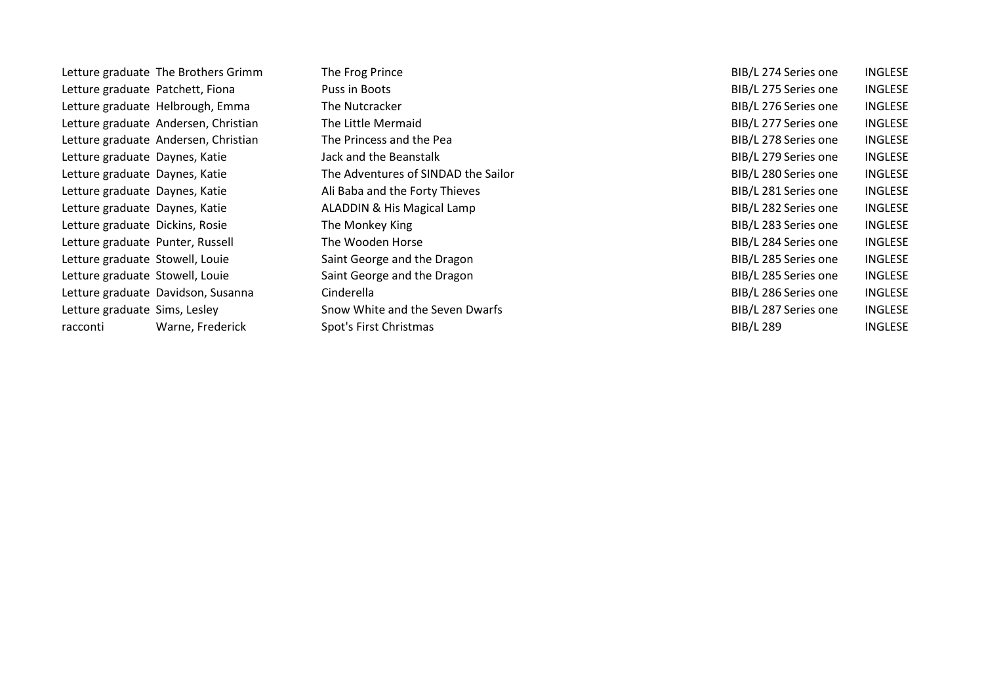Letture graduate The Brothers Grimm The Frog Prince The Structure BIB/L 274 Series one INGLESE Letture graduate Patchett, Fiona Puss in Boots BIB/L 275 Series one INGLESE Letture graduate Helbrough, Emma The Nutcracker The Theorem Controller BIB/L 276 Series one INGLESE Letture graduate Andersen, Christian The Little Mermaid BIB/L 277 Series one INGLESE Letture graduate Andersen, Christian The Princess and the Pea BIB/L 278 Series one INGLESE Letture graduate Daynes, Katie **State State State And State State Jack and the Beanstalk** BIB/L 279 Series one INGLESE Letture graduate Daynes, Katie **The Adventures of SINDAD** the Sailor BIB/L 280 Series one INGLESE Letture graduate Daynes, Katie **Ali Baba and the Forty Thieves** Ali Baba and the Forty Thieves **BIB/L 281 Series one** INGLESE Letture graduate Daynes, Katie **ALADDIN & His Magical Lamp** BIB/L 282 Series one INGLESE Letture graduate Dickins, Rosie **The Monkey King BIB/L 283 Series one** INGLESE Letture graduate Punter, Russell **The Wooden Horse BIB/L 284 Series one** INGLESE Letture graduate Stowell, Louie Saint George and the Dragon State Stowe State Scries one INGLESE Letture graduate Stowell, Louie Saint George and the Dragon BIB/L 285 Series one INGLESE Letture graduate Davidson, Susanna Cinderella BIB/L 286 Series one INGLESE Letture graduate Sims, Lesley Snow White and the Seven Dwarfs Snow White and the Seven Dwarfs Changes Snow White and the Seven Dwarfs Changes BIB/L 287 Series one INGLESE racconti Warne, Frederick Spot's First Christmas Superintensis and BIB/L 289 INGLESE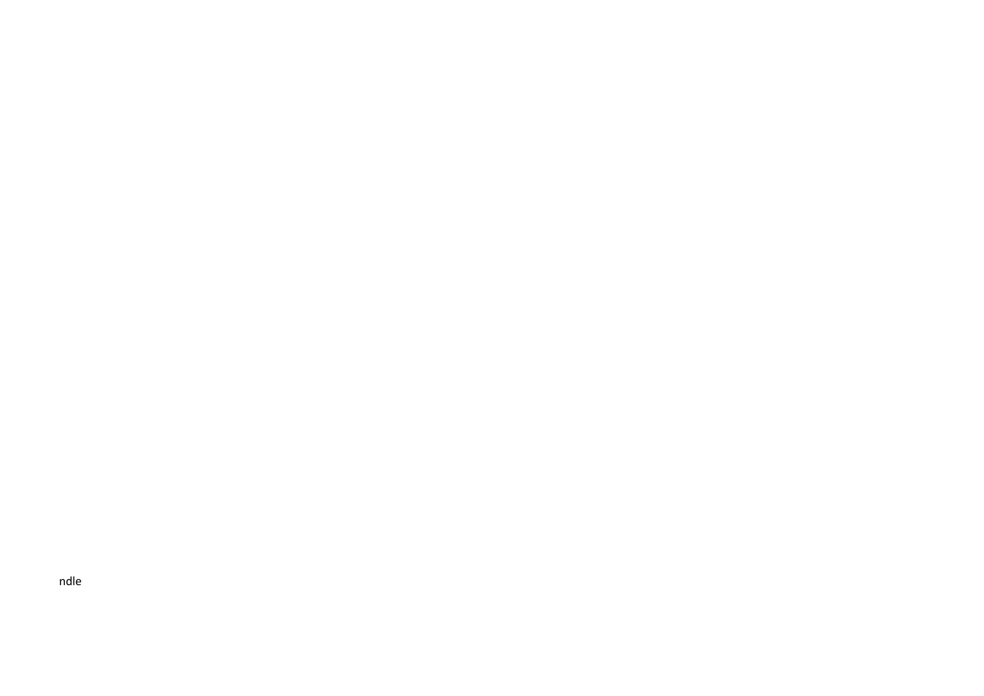ndle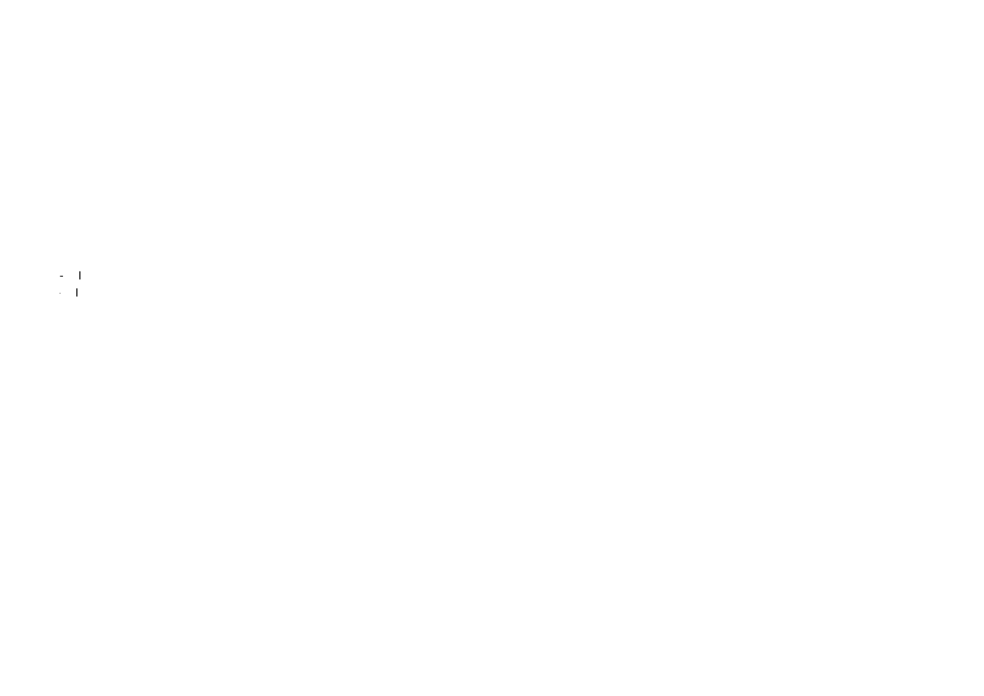$\frac{1}{\gamma-1}$